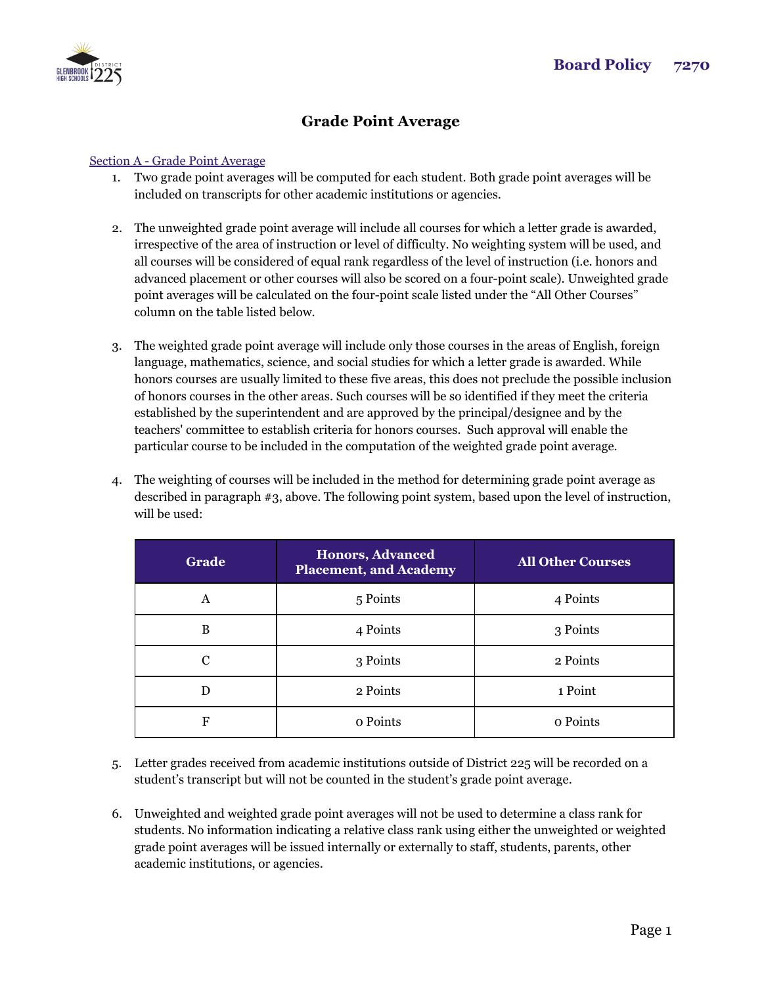

## **Grade Point Average**

## Section A - Grade Point Average

- 1. Two grade point averages will be computed for each student. Both grade point averages will be included on transcripts for other academic institutions or agencies.
- 2. The unweighted grade point average will include all courses for which a letter grade is awarded, irrespective of the area of instruction or level of difficulty. No weighting system will be used, and all courses will be considered of equal rank regardless of the level of instruction (i.e. honors and advanced placement or other courses will also be scored on a four-point scale). Unweighted grade point averages will be calculated on the four-point scale listed under the "All Other Courses" column on the table listed below.
- 3. The weighted grade point average will include only those courses in the areas of English, foreign language, mathematics, science, and social studies for which a letter grade is awarded. While honors courses are usually limited to these five areas, this does not preclude the possible inclusion of honors courses in the other areas. Such courses will be so identified if they meet the criteria established by the superintendent and are approved by the principal/designee and by the teachers' committee to establish criteria for honors courses. Such approval will enable the particular course to be included in the computation of the weighted grade point average.
- 4. The weighting of courses will be included in the method for determining grade point average as described in paragraph #3, above. The following point system, based upon the level of instruction, will be used:

| Grade | <b>Honors, Advanced</b><br><b>Placement, and Academy</b> | <b>All Other Courses</b> |
|-------|----------------------------------------------------------|--------------------------|
| A     | 5 Points                                                 | 4 Points                 |
| B     | 4 Points                                                 | 3 Points                 |
| С     | 3 Points                                                 | 2 Points                 |
| D     | 2 Points                                                 | 1 Point                  |
| F     | o Points                                                 | o Points                 |

- 5. Letter grades received from academic institutions outside of District 225 will be recorded on a student's transcript but will not be counted in the student's grade point average.
- 6. Unweighted and weighted grade point averages will not be used to determine a class rank for students. No information indicating a relative class rank using either the unweighted or weighted grade point averages will be issued internally or externally to staff, students, parents, other academic institutions, or agencies.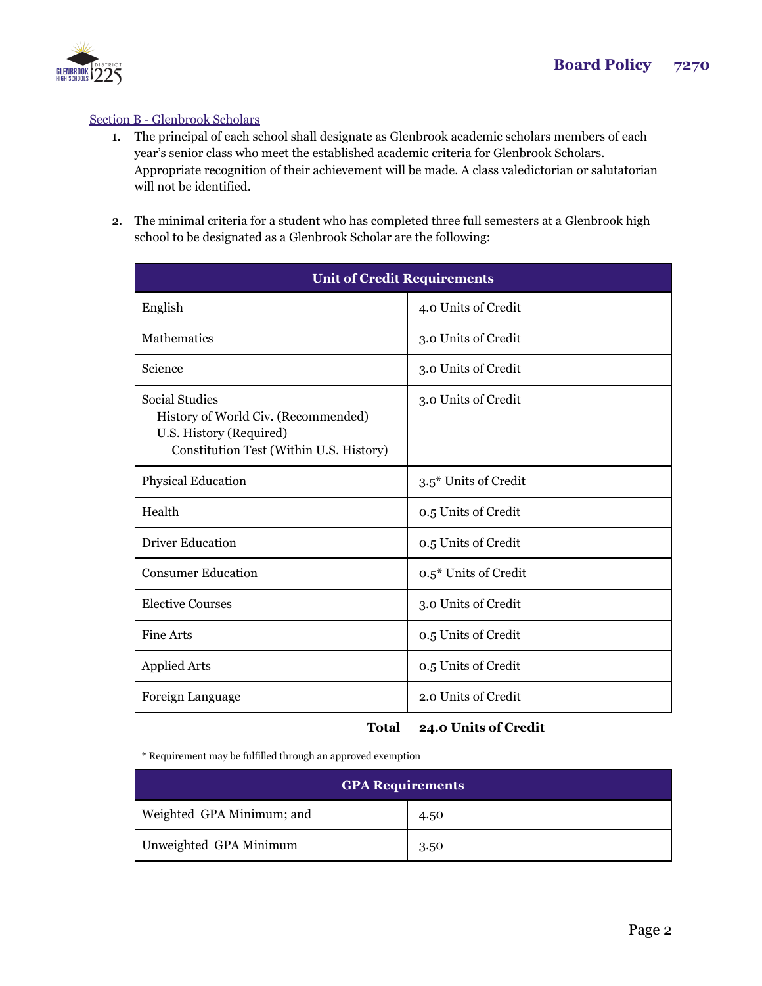

## Section B - Glenbrook Scholars

- 1. The principal of each school shall designate as Glenbrook academic scholars members of each year's senior class who meet the established academic criteria for Glenbrook Scholars. Appropriate recognition of their achievement will be made. A class valedictorian or salutatorian will not be identified.
- 2. The minimal criteria for a student who has completed three full semesters at a Glenbrook high school to be designated as a Glenbrook Scholar are the following:

| <b>Unit of Credit Requirements</b>                                                                                          |                      |  |
|-----------------------------------------------------------------------------------------------------------------------------|----------------------|--|
| English                                                                                                                     | 4.0 Units of Credit  |  |
| <b>Mathematics</b>                                                                                                          | 3.0 Units of Credit  |  |
| Science                                                                                                                     | 3.0 Units of Credit  |  |
| Social Studies<br>History of World Civ. (Recommended)<br>U.S. History (Required)<br>Constitution Test (Within U.S. History) | 3.0 Units of Credit  |  |
| Physical Education                                                                                                          | 3.5* Units of Credit |  |
| Health                                                                                                                      | 0.5 Units of Credit  |  |
| <b>Driver Education</b>                                                                                                     | 0.5 Units of Credit  |  |
| <b>Consumer Education</b>                                                                                                   | 0.5* Units of Credit |  |
| <b>Elective Courses</b>                                                                                                     | 3.0 Units of Credit  |  |
| Fine Arts                                                                                                                   | 0.5 Units of Credit  |  |
| <b>Applied Arts</b>                                                                                                         | 0.5 Units of Credit  |  |
| Foreign Language                                                                                                            | 2.0 Units of Credit  |  |

## **Total 24.0 Units of Credit**

\* Requirement may be fulfilled through an approved exemption

| <b>GPA Requirements</b>   |      |  |
|---------------------------|------|--|
| Weighted GPA Minimum; and | 4.50 |  |
| Unweighted GPA Minimum    | 3.50 |  |